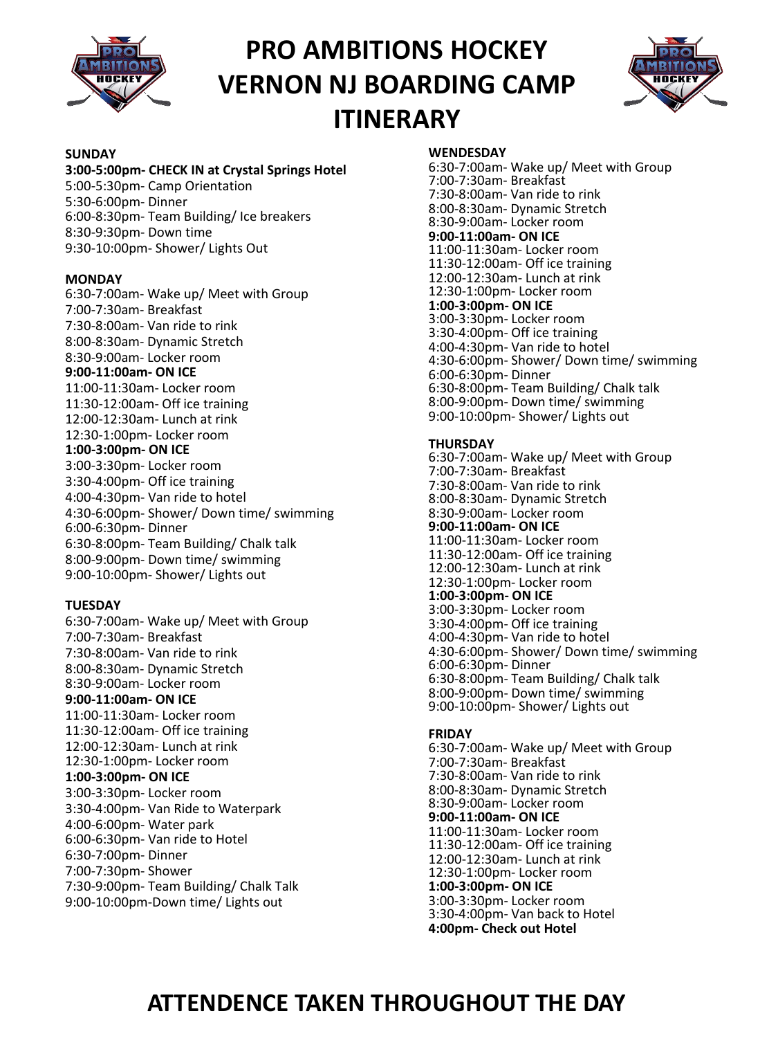

# **PRO AMBITIONS HOCKEY VERNON NJ BOARDING CAMP ITINERARY**



## **SUNDAY**

#### **3:00-5:00pm- CHECK IN at Crystal Springs Hotel**

5:00-5:30pm- Camp Orientation 5:30-6:00pm- Dinner 6:00-8:30pm- Team Building/ Ice breakers 8:30-9:30pm- Down time 9:30-10:00pm- Shower/ Lights Out

### **MONDAY**

6:30-7:00am- Wake up/ Meet with Group 7:00-7:30am- Breakfast 7:30-8:00am- Van ride to rink 8:00-8:30am- Dynamic Stretch 8:30-9:00am- Locker room **9:00-11:00am- ON ICE** 11:00-11:30am- Locker room 11:30-12:00am- Off ice training 12:00-12:30am- Lunch at rink 12:30-1:00pm- Locker room **1:00-3:00pm- ON ICE** 3:00-3:30pm- Locker room 3:30-4:00pm- Off ice training 4:00-4:30pm- Van ride to hotel 4:30-6:00pm- Shower/ Down time/ swimming 6:00-6:30pm- Dinner 6:30-8:00pm- Team Building/ Chalk talk 8:00-9:00pm- Down time/ swimming 9:00-10:00pm- Shower/ Lights out

### **TUESDAY**

6:30-7:00am- Wake up/ Meet with Group 7:00-7:30am- Breakfast 7:30-8:00am- Van ride to rink 8:00-8:30am- Dynamic Stretch 8:30-9:00am- Locker room **9:00-11:00am- ON ICE** 11:00-11:30am- Locker room 11:30-12:00am- Off ice training 12:00-12:30am- Lunch at rink 12:30-1:00pm- Locker room **1:00-3:00pm- ON ICE** 3:00-3:30pm- Locker room 3:30-4:00pm- Van Ride to Waterpark 4:00-6:00pm- Water park 6:00-6:30pm- Van ride to Hotel 6:30-7:00pm- Dinner 7:00-7:30pm- Shower 7:30-9:00pm- Team Building/ Chalk Talk 9:00-10:00pm-Down time/ Lights out

### **WENDESDAY**

6:30-7:00am- Wake up/ Meet with Group 7:00-7:30am- Breakfast 7:30-8:00am- Van ride to rink 8:00-8:30am- Dynamic Stretch 8:30-9:00am- Locker room **9:00-11:00am- ON ICE** 11:00-11:30am- Locker room 11:30-12:00am- Off ice training 12:00-12:30am- Lunch at rink 12:30-1:00pm- Locker room **1:00-3:00pm- ON ICE** 3:00-3:30pm- Locker room 3:30-4:00pm- Off ice training 4:00-4:30pm- Van ride to hotel 4:30-6:00pm- Shower/ Down time/ swimming 6:00-6:30pm- Dinner 6:30-8:00pm- Team Building/ Chalk talk 8:00-9:00pm- Down time/ swimming 9:00-10:00pm- Shower/ Lights out

### **THURSDAY**

6:30-7:00am- Wake up/ Meet with Group 7:00-7:30am- Breakfast 7:30-8:00am- Van ride to rink 8:00-8:30am- Dynamic Stretch 8:30-9:00am- Locker room **9:00-11:00am- ON ICE** 11:00-11:30am- Locker room 11:30-12:00am- Off ice training 12:00-12:30am- Lunch at rink 12:30-1:00pm- Locker room **1:00-3:00pm- ON ICE** 3:00-3:30pm- Locker room 3:30-4:00pm- Off ice training 4:00-4:30pm- Van ride to hotel 4:30-6:00pm- Shower/ Down time/ swimming 6:00-6:30pm- Dinner 6:30-8:00pm- Team Building/ Chalk talk 8:00-9:00pm- Down time/ swimming 9:00-10:00pm- Shower/ Lights out

#### **FRIDAY**

6:30-7:00am- Wake up/ Meet with Group 7:00-7:30am- Breakfast 7:30-8:00am- Van ride to rink 8:00-8:30am- Dynamic Stretch 8:30-9:00am- Locker room **9:00-11:00am- ON ICE** 11:00-11:30am- Locker room 11:30-12:00am- Off ice training 12:00-12:30am- Lunch at rink 12:30-1:00pm- Locker room **1:00-3:00pm- ON ICE** 3:00-3:30pm- Locker room 3:30-4:00pm- Van back to Hotel **4:00pm- Check out Hotel**

# **ATTENDENCE TAKEN THROUGHOUT THE DAY**